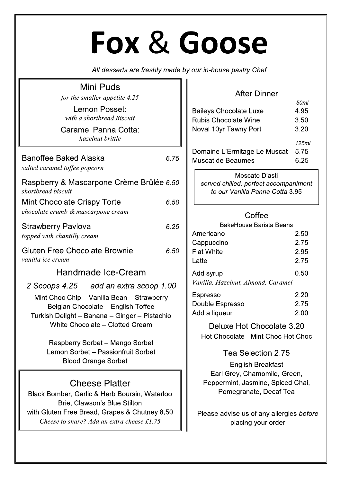## Fox & Goose

All desserts are freshly made by our in-house pastry Chef

| Mini Puds<br>for the smaller appetite 4.25<br>Lemon Posset:<br>with a shortbread Biscuit<br>Caramel Panna Cotta:<br>hazelnut brittle                                                                          |  |  |
|---------------------------------------------------------------------------------------------------------------------------------------------------------------------------------------------------------------|--|--|
| <b>Banoffee Baked Alaska</b><br>6.75<br>salted caramel toffee popcorn                                                                                                                                         |  |  |
| Raspberry & Mascarpone Crème Brûlée 6.50<br>shortbread biscuit                                                                                                                                                |  |  |
| <b>Mint Chocolate Crispy Torte</b><br>6.50<br>chocolate crumb & mascarpone cream                                                                                                                              |  |  |
| <b>Strawberry Pavlova</b><br>6.25<br>topped with chantilly cream                                                                                                                                              |  |  |
| <b>Gluten Free Chocolate Brownie</b><br>6.50<br>vanilla ice cream                                                                                                                                             |  |  |
| Handmade Ice-Cream                                                                                                                                                                                            |  |  |
| 2 Scoops 4.25 add an extra scoop 1.00<br>Mint Choc Chip - Vanilla Bean - Strawberry<br>Belgian Chocolate - English Toffee<br>Turkish Delight - Banana - Ginger - Pistachio<br>White Chocolate - Clotted Cream |  |  |
| Raspberry Sorbet - Mango Sorbet<br>Lemon Sorbet - Passionfruit Sorbet<br><b>Blood Orange Sorbet</b>                                                                                                           |  |  |
| <b>Cheese Platter</b><br>Black Bomber, Garlic & Herb Boursin, Waterloo<br>Brie, Clawson's Blue Stilton<br>with Gluten Free Bread, Grapes & Chutney 8.50<br>Cheese to share? Add an extra cheese £1.75         |  |  |

## **After Dinner**

|                                                   | 50ml                  |
|---------------------------------------------------|-----------------------|
| <b>Baileys Chocolate Luxe</b>                     | 4.95                  |
| <b>Rubis Chocolate Wine</b>                       | 3.50                  |
| Noval 10yr Tawny Port                             | 3.20                  |
| Domaine L'Ermitage Le Muscat<br>Muscat de Beaumes | 125ml<br>5.75<br>6.25 |

Moscato D'asti served chilled, perfect accompaniment to our Vanilla Panna Cotta 3.95

## Coffee

| <b>BakeHouse Barista Beans</b>     |      |
|------------------------------------|------|
| Americano                          | 2.50 |
| Cappuccino                         | 2.75 |
| <b>Flat White</b>                  | 2.95 |
| Latte                              | 2.75 |
| Add syrup                          | 0.50 |
| Vanilla, Hazelnut, Almond, Caramel |      |
| Ecorcoco                           | חר ר |

| 2.20 |
|------|
| 2.75 |
| 2.00 |
|      |

Deluxe Hot Chocolate 3.20 Hot Chocolate - Mint Choc Hot Choc

Tea Selection 2.75

**English Breakfast** Earl Grey, Chamomile, Green, Peppermint, Jasmine, Spiced Chai, Pomegranate, Decaf Tea

Please advise us of any allergies before placing your order